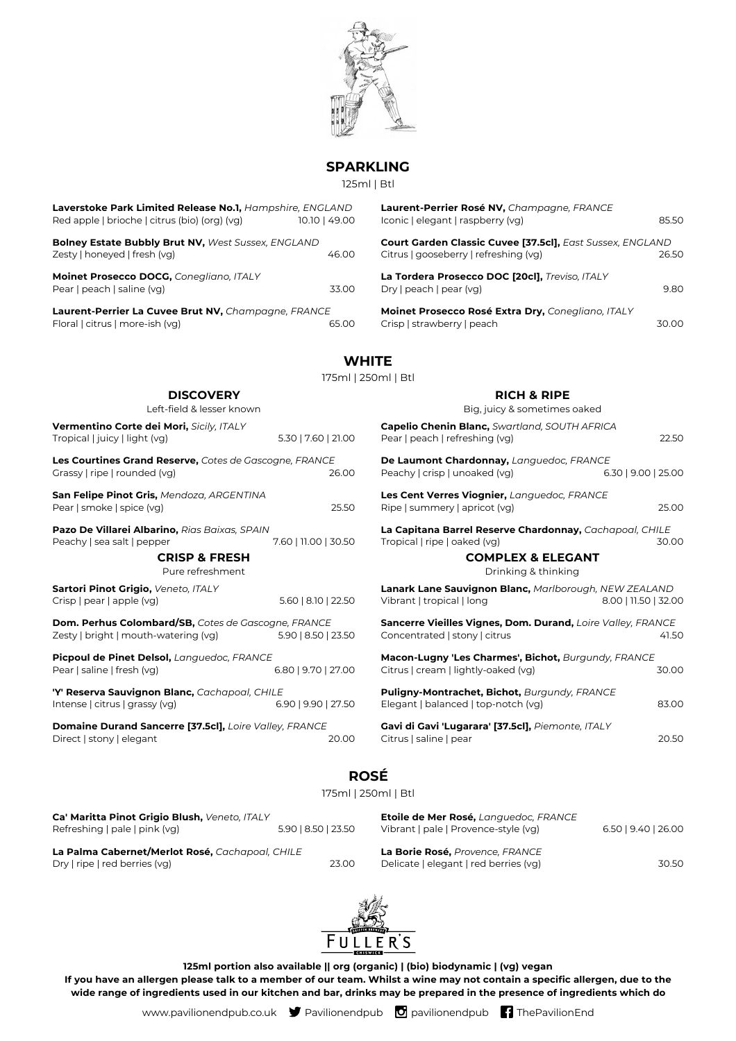

## **SPARKLING**

125ml | Btl

|                                                                                                                  | IZƏMI   BU           |                                                                                                     |                       |
|------------------------------------------------------------------------------------------------------------------|----------------------|-----------------------------------------------------------------------------------------------------|-----------------------|
| <b>Laverstoke Park Limited Release No.1,</b> Hampshire, ENGLAND<br>Red apple   brioche   citrus (bio) (org) (vg) | 10.10   49.00        | Laurent-Perrier Rosé NV, Champagne, FRANCE<br>Iconic   elegant   raspberry (vg)                     | 85.50                 |
| <b>Bolney Estate Bubbly Brut NV, West Sussex, ENGLAND</b><br>Zesty   honeyed   fresh (vg)                        | 46.00                | Court Garden Classic Cuvee [37.5cl], East Sussex, ENGLAND<br>Citrus   gooseberry   refreshing (vg)  | 26.50                 |
| Moinet Prosecco DOCG, Conegliano, ITALY<br>Pear   peach   saline (vg)                                            | 33.00                | La Tordera Prosecco DOC [20cl], Treviso, ITALY<br>Dry   peach   pear (vg)                           | 9.80                  |
| Laurent-Perrier La Cuvee Brut NV, Champagne, FRANCE<br>Floral   citrus   more-ish (vq)                           | 65.00                | Moinet Prosecco Rosé Extra Dry, Conegliano, ITALY<br>Crisp   strawberry   peach                     | 30.00                 |
|                                                                                                                  | <b>WHITE</b>         |                                                                                                     |                       |
|                                                                                                                  | 175ml   250ml   Btl  |                                                                                                     |                       |
| <b>DISCOVERY</b><br>Left-field & lesser known                                                                    |                      | <b>RICH &amp; RIPE</b><br>Big, juicy & sometimes oaked                                              |                       |
| Vermentino Corte dei Mori, Sicily, ITALY<br>Tropical   juicy   light (vg)                                        | 5.30   7.60   21.00  | <b>Capelio Chenin Blanc, Swartland, SOUTH AFRICA</b><br>Pear   peach   refreshing (vg)              | 22.50                 |
| <b>Les Courtines Grand Reserve,</b> Cotes de Gascogne, FRANCE<br>Grassy   ripe   rounded (vg)                    | 26.00                | De Laumont Chardonnay, Languedoc, FRANCE<br>Peachy   crisp   unoaked (vg)                           | $6.30$   9.00   25.00 |
| San Felipe Pinot Gris, Mendoza, ARGENTINA<br>Pear   smoke   spice (vg)                                           | 25.50                | Les Cent Verres Viognier, Languedoc, FRANCE<br>Ripe   summery   apricot (vg)                        | 25.00                 |
| <b>Pazo De Villarei Albarino,</b> Rias Baixas, SPAIN<br>Peachy   sea salt   pepper                               | 7.60   11.00   30.50 | La Capitana Barrel Reserve Chardonnay, Cachapoal, CHILE<br>Tropical   ripe   oaked (vg)             | 30.00                 |
| <b>CRISP &amp; FRESH</b><br>Pure refreshment                                                                     |                      | <b>COMPLEX &amp; ELEGANT</b><br>Drinking & thinking                                                 |                       |
| Sartori Pinot Grigio, Veneto, ITALY<br>Crisp   pear   apple (vg)                                                 | 5.60   8.10   22.50  | <b>Lanark Lane Sauvignon Blanc, Marlborough, NEW ZEALAND</b><br>Vibrant   tropical   long           | 8.00   11.50   32.00  |
| <b>Dom. Perhus Colombard/SB,</b> Cotes de Gascogne, FRANCE<br>Zesty   bright   mouth-watering (vg)               | 5.90   8.50   23.50  | Sancerre Vieilles Vignes, Dom. Durand, Loire Valley, FRANCE<br>Concentrated   stony   citrus        | 41.50                 |
| <b>Picpoul de Pinet Delsol,</b> Languedoc, FRANCE<br>Pear   saline   fresh (vg)<br>6.80   9.70   27.00           |                      | Macon-Lugny 'Les Charmes', Bichot, Burgundy, FRANCE<br>Citrus   cream   lightly-oaked (vg)<br>30.00 |                       |
| 'Y' Reserva Sauvignon Blanc, Cachapoal, CHILE<br>Intense   citrus   grassy (vg)                                  | 6.90   9.90   27.50  | Puligny-Montrachet, Bichot, Burgundy, FRANCE<br>Elegant   balanced   top-notch (vg)                 | 83.00                 |
| <b>Domaine Durand Sancerre [37.5cl],</b> Loire Valley, FRANCE<br>Direct   stony   elegant                        | 20.00                | Gavi di Gavi 'Lugarara' [37.5cl], Piemonte, ITALY<br>Citrus   saline   pear                         | 20.50                 |
|                                                                                                                  |                      |                                                                                                     |                       |

## **ROSÉ**

175ml | 250ml | Btl

| Ca' Maritta Pinot Grigio Blush, Veneto, ITALY                                    |                     | Etoile de Mer Rosé, Languedoc, FRANCE                                    |                     |
|----------------------------------------------------------------------------------|---------------------|--------------------------------------------------------------------------|---------------------|
| Refreshing   pale   pink (vg)                                                    | 5.90   8.50   23.50 | Vibrant   pale   Provence-style (vg)                                     | 6.50   9.40   26.00 |
| La Palma Cabernet/Merlot Rosé, Cachapoal, CHILE<br>Dry   ripe   red berries (vg) | 23.00               | La Borie Rosé, Provence, FRANCE<br>Delicate   elegant   red berries (vg) | 30.50               |



**125ml portion also available || org (organic) | (bio) biodynamic | (vg) vegan If you have an allergen please talk to a member of our team. Whilst a wine may not contain a specific allergen, due to the wide range of ingredients used in our kitchen and bar, drinks may be prepared in the presence of ingredients which do**